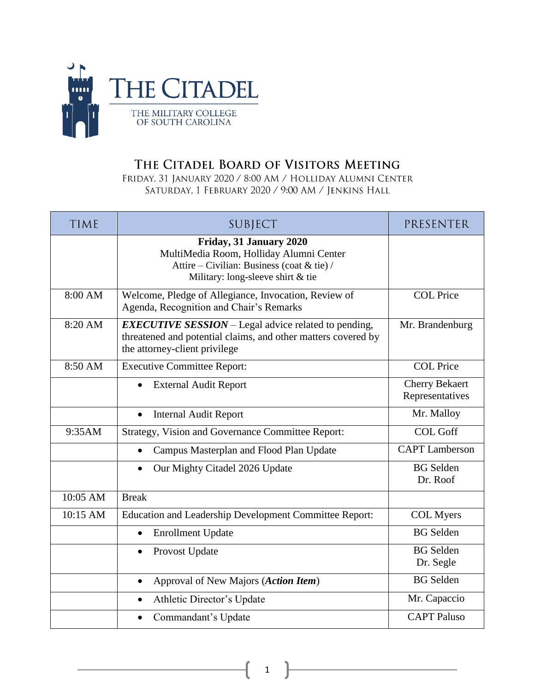

## THE CITADEL BOARD OF VISITORS MEETING

FRIDAY, 31 JANUARY 2020 / 8:00 AM / HOLLIDAY ALUMNI CENTER SATURDAY, 1 FEBRUARY 2020 / 9:00 AM / JENKINS HALL

| <b>TIME</b> | SUBJECT                                                                                                                                                       | PRESENTER                                |
|-------------|---------------------------------------------------------------------------------------------------------------------------------------------------------------|------------------------------------------|
|             | Friday, 31 January 2020<br>MultiMedia Room, Holliday Alumni Center<br>Attire – Civilian: Business (coat & tie) /<br>Military: long-sleeve shirt $&$ tie       |                                          |
| 8:00 AM     | Welcome, Pledge of Allegiance, Invocation, Review of<br>Agenda, Recognition and Chair's Remarks                                                               | <b>COL Price</b>                         |
| 8:20 AM     | <b>EXECUTIVE SESSION</b> – Legal advice related to pending,<br>threatened and potential claims, and other matters covered by<br>the attorney-client privilege | Mr. Brandenburg                          |
| 8:50 AM     | <b>Executive Committee Report:</b>                                                                                                                            | <b>COL Price</b>                         |
|             | <b>External Audit Report</b>                                                                                                                                  | <b>Cherry Bekaert</b><br>Representatives |
|             | <b>Internal Audit Report</b><br>$\bullet$                                                                                                                     | Mr. Malloy                               |
| 9:35AM      | Strategy, Vision and Governance Committee Report:                                                                                                             | <b>COL Goff</b>                          |
|             | Campus Masterplan and Flood Plan Update<br>$\bullet$                                                                                                          | <b>CAPT</b> Lamberson                    |
|             | Our Mighty Citadel 2026 Update<br>$\bullet$                                                                                                                   | <b>BG</b> Selden<br>Dr. Roof             |
| 10:05 AM    | <b>Break</b>                                                                                                                                                  |                                          |
| 10:15 AM    | Education and Leadership Development Committee Report:                                                                                                        | <b>COL</b> Myers                         |
|             | <b>Enrollment Update</b><br>$\bullet$                                                                                                                         | <b>BG</b> Selden                         |
|             | Provost Update<br>$\bullet$                                                                                                                                   | <b>BG</b> Selden<br>Dr. Segle            |
|             | Approval of New Majors (Action Item)<br>$\bullet$                                                                                                             | <b>BG</b> Selden                         |
|             | Athletic Director's Update<br>$\bullet$                                                                                                                       | Mr. Capaccio                             |
|             | Commandant's Update                                                                                                                                           | <b>CAPT Paluso</b>                       |

1